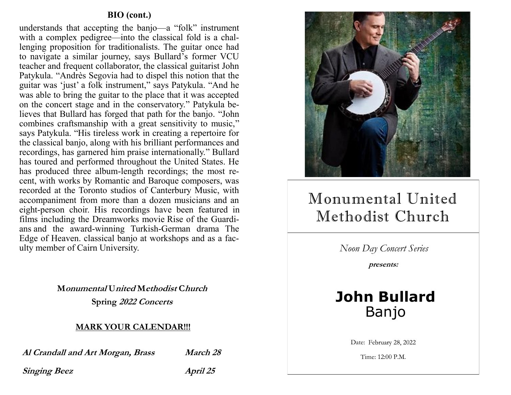### **BIO (cont.)**

understands that accepting the banjo—a "folk" instrument with a complex pedigree—into the classical fold is a challenging proposition for traditionalists. The guitar once had to navigate a similar journey, says Bullard's former VCU teacher and frequent collaborator, the classical guitarist John Patykula. "Andrès Segovia had to dispel this notion that the guitar was 'just' a folk instrument," says Patykula. "And he was able to bring the guitar to the place that it was accepted on the concert stage and in the conservatory." Patykula believes that Bullard has forged that path for the banjo. "John combines craftsmanship with a great sensitivity to music," says Patykula. "His tireless work in creating a repertoire for the classical banjo, along with his brilliant performances and recordings, has garnered him praise internationally." Bullard has toured and performed throughout the United States. He has produced three album-length recordings; the most recent, with works by Romantic and Baroque composers, was recorded at the Toronto studios of Canterbury Music, with accompaniment from more than a dozen musicians and an eight-person choir. His recordings have been featured in films including the Dreamworks movie Rise of the Guardians and the award-winning Turkish-German drama The Edge of Heaven. classical banjo at workshops and as a faculty member of Cairn University.

> **Monumental United Methodist Church Spring 2022 Concerts**

#### **MARK YOUR CALENDAR!!!**

**Al Crandall and Art Morgan, Brass March 28**

**Singing Beez** *April 25* 



# Monumental United Methodist Church

*Noon Day Concert Series*

**presents:**

## **John Bullard** Banjo

Date: February 28, 2022

Time: 12:00 P.M.